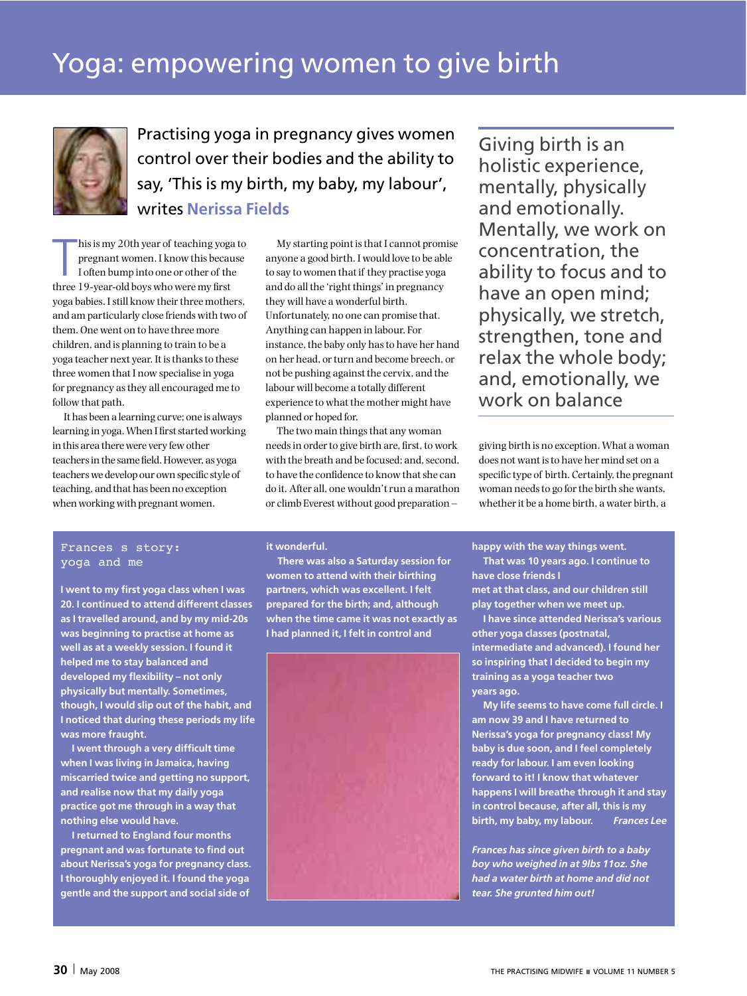

Practising yoga in pregnancy gives women control over their bodies and the ability to say, 'This is my birth, my baby, my labour', writes **Nerissa Fields**

 $\prod_{\text{th}}$ hisis my 20th year of teaching yoga to pregnant women. I know this because I often bump into one or other of the three 19-year-old boys who were my first yoga babies. I still know their three mothers, and am particularly close friends with two of them. One went on to have three more children, and is planning to train to be a yoga teacher next year. It is thanks to these three women that I now specialise in yoga for pregnancy asthey all encouraged me to follow that path.

It has been a learning curve; one is always learning in yoga. When I first started working in this area there were very few other teachersin the same field. However, as yoga teachers we develop our own specific style of teaching, and that has been no exception when working with pregnant women.

My starting point isthat I cannot promise anyone a good birth. I would love to be able to say to women that if they practise yoga and do all the 'right things' in pregnancy they will have a wonderful birth. Unfortunately, no one can promise that. Anything can happen in labour. For instance, the baby only hasto have her hand on her head, or turn and become breech, or not be pushing against the cervix, and the labour will become a totally different experience to what the mother might have planned or hoped for.

The two main things that any woman needs in order to give birth are, first, to work with the breath and be focused; and, second, to have the confidence to know thatshe can do it. After all, one wouldn'trun a marathon or climb Everest without good preparation –

Giving birth is an holistic experience, mentally, physically and emotionally. Mentally, we work on concentration, the ability to focus and to have an open mind; physically, we stretch, strengthen, tone and relax the whole body; and, emotionally, we work on balance

giving birth is no exception. What a woman does not want isto have her mind set on a specific type of birth. Certainly, the pregnant woman needs to go for the birth she wants, whetherit be a home birth, a water birth, a

### Frances s story: yoga and me

**I went to my first yoga class when I was 20. I continued to attend different classes as I travelled around, and by my mid-20s was beginning to practise at home as well as at a weekly session. I found it helped me to stay balanced and developed my flexibility – not only physically but mentally. Sometimes, though, I would slip out of the habit, and I noticed that during these periods my life was more fraught.**

**I went through a very difficult time when I was living in Jamaica, having miscarried twice and getting no support, and realise now that my daily yoga practice got me through in a way that nothing else would have.**

**I returned to England four months pregnant and was fortunate to find out about Nerissa's yoga for pregnancy class. I thoroughly enjoyed it. I found the yoga gentle and the support and social side of**

## **it wonderful.**

**There was also a Saturday session for women to attend with their birthing partners, which was excellent. I felt prepared for the birth; and, although when the time came it was not exactly as I had planned it, I felt in control and**



**happy with the way things went.**

**That was 10 years ago. I continue to have close friends I**

**met at that class, and our children still play together when we meet up.**

**I have since attended Nerissa's various other yoga classes (postnatal, intermediate and advanced). I found her so inspiring that I decided to begin my training as a yoga teacher two years ago.**

**My life seems to have come full circle. I am now 39 and I have returned to Nerissa's yoga for pregnancy class! My baby is due soon, and I feel completely ready for labour. I am even looking forward to it! I know that whatever happens I will breathe through it and stay in control because, after all, this is my birth, my baby, my labour.** *Frances Lee*

*Frances has since given birth to a baby boy who weighed in at 9lbs 11oz. She had a water birth at home and did not tear. She grunted him out!*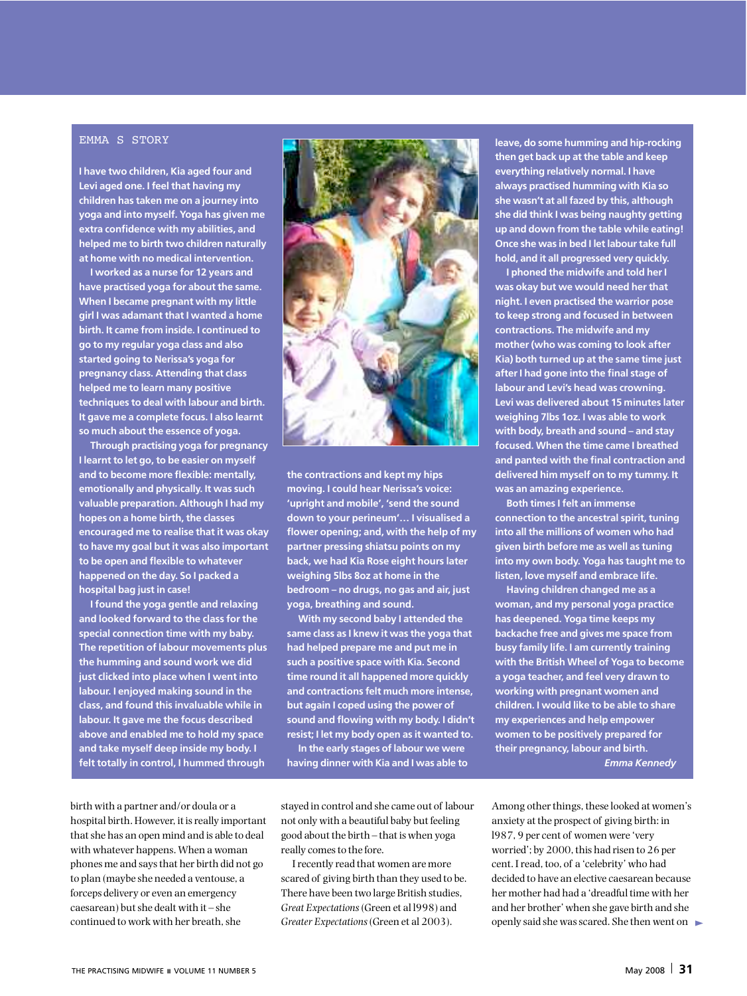#### EMMA S STORY

**I have two children, Kia aged four and Levi aged one. I feel that having my children has taken me on a journey into yoga and into myself. Yoga has given me extra confidence with my abilities, and helped me to birth two children naturally at home with no medical intervention.**

**I worked as a nurse for 12 years and have practised yoga for about the same. When I became pregnant with my little girl I was adamant that I wanted a home birth. It came from inside. I continued to go to my regular yoga class and also started going to Nerissa's yoga for pregnancy class. Attending that class helped me to learn many positive techniques to deal with labour and birth. It gave me a complete focus. I also learnt so much about the essence of yoga.**

**Through practising yoga for pregnancy I learnt to let go, to be easier on myself and to become more flexible: mentally, emotionally and physically. It was such valuable preparation. Although I had my hopes on a home birth, the classes encouraged me to realise that it was okay to have my goal but it was also important to be open and flexible to whatever happened on the day. So I packed a hospital bag just in case!**

**I found the yoga gentle and relaxing and looked forward to the class for the special connection time with my baby. The repetition of labour movements plus the humming and sound work we did just clicked into place when I went into labour. I enjoyed making sound in the class, and found this invaluable while in labour. It gave me the focus described above and enabled me to hold my space and take myself deep inside my body. I felt totally in control, I hummed through**



**the contractions and kept my hips moving. I could hear Nerissa's voice: 'upright and mobile', 'send the sound down to your perineum'… I visualised a flower opening; and, with the help of my partner pressing shiatsu points on my back, we had Kia Rose eight hours later weighing 5lbs 8oz at home in the bedroom – no drugs, no gas and air, just yoga, breathing and sound.**

**With my second baby I attended the same class as I knew it was the yoga that had helped prepare me and put me in such a positive space with Kia. Second time round it all happened more quickly and contractions felt much more intense, but again I coped using the power of sound and flowing with my body. I didn't resist; I let my body open as it wanted to. In the early stages oflabour we were**

**having dinner with Kia and I was able to**

**leave, do some humming and hip-rocking then get back up atthe table and keep everything relatively normal. I have always practised humming with Kia so she wasn't at allfazed by this, although she did think I was being naughty getting up and down from the table while eating! Once she was in bed I letlabourtake full hold, and it all progressed very quickly.**

**I phoned the midwife and told her I was okay but we would need her that night. I even practised the warrior pose to keep strong and focused in between contractions. The midwife and my mother (who was coming to look after Kia) both turned up at the same time just after I had gone into the final stage of labour and Levi's head was crowning. Levi was delivered about 15 minutes later weighing 7lbs 1oz. I was able to work with body, breath and sound – and stay focused. When the time came I breathed and panted with the final contraction and delivered him myself on to my tummy. It was an amazing experience.**

**Both times I felt an immense connection to the ancestral spirit, tuning into all the millions of women who had given birth before me as well as tuning into my own body. Yoga has taught me to listen, love myself and embrace life.**

**Having children changed me as a woman, and my personal yoga practice has deepened. Yoga time keeps my backache free and gives me space from busy family life. I am currently training with the British Wheel of Yoga to become a yoga teacher, and feel very drawn to working with pregnant women and children. I would like to be able to share my experiences and help empower women to be positively prepared for their pregnancy, labour and birth.** *Emma Kennedy*

birth with a partner and/or doula or a hospital birth. However, it is really important thatshe has an open mind and is able to deal with whatever happens. When a woman phones me and saysthat her birth did not go to plan (maybe she needed a ventouse, a forceps delivery or even an emergency caesarean) butshe dealt with it – she continued to work with her breath, she

stayed in control and she came out of labour not only with a beautiful baby but feeling good about the birth – that is when yoga really comes to the fore.

Irecently read that women are more scared of giving birth than they used to be. There have been two large British studies, *Great Expectations*(Green et al l998) and *Greater Expectations*(Green et al 2003).

Among other things, these looked at women's anxiety at the prospect of giving birth: in l987, 9 per cent of women were 'very worried'; by 2000, this had risen to 26 per cent. Iread, too, of a 'celebrity' who had decided to have an elective caesarean because her mother had had a 'dreadful time with her and her brother' when she gave birth and she openly said she was scared. She then went on  $\blacktriangleright$